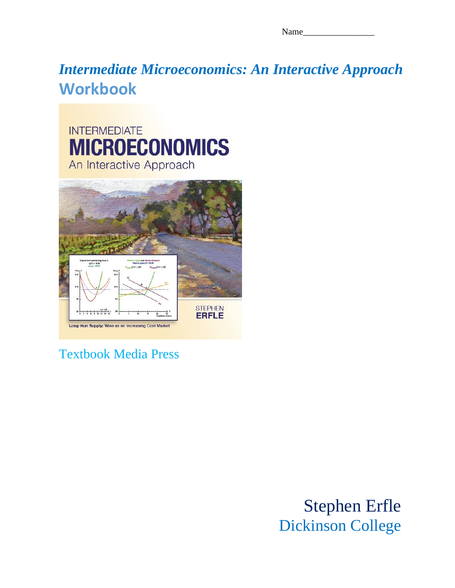Name

# *Intermediate Microeconomics: An Interactive Approach* **Workbook**





## Textbook Media Press

Stephen Erfle Dickinson College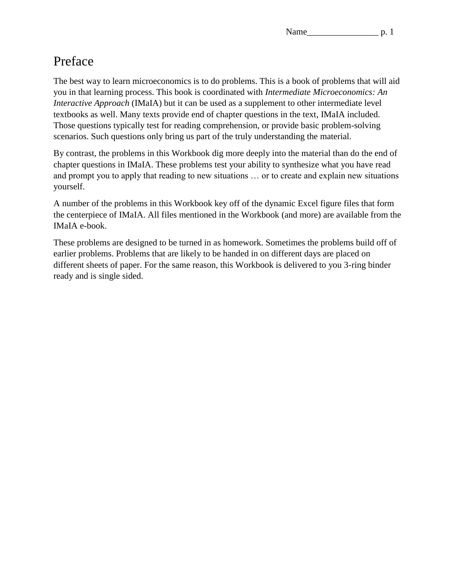## Preface

The best way to learn microeconomics is to do problems. This is a book of problems that will aid you in that learning process. This book is coordinated with *Intermediate Microeconomics: An Interactive Approach* (IMaIA) but it can be used as a supplement to other intermediate level textbooks as well. Many texts provide end of chapter questions in the text, IMaIA included. Those questions typically test for reading comprehension, or provide basic problem-solving scenarios. Such questions only bring us part of the truly understanding the material.

By contrast, the problems in this Workbook dig more deeply into the material than do the end of chapter questions in IMaIA. These problems test your ability to synthesize what you have read and prompt you to apply that reading to new situations … or to create and explain new situations yourself.

A number of the problems in this Workbook key off of the dynamic Excel figure files that form the centerpiece of IMaIA. All files mentioned in the Workbook (and more) are available from the IMaIA e-book.

These problems are designed to be turned in as homework. Sometimes the problems build off of earlier problems. Problems that are likely to be handed in on different days are placed on different sheets of paper. For the same reason, this Workbook is delivered to you 3-ring binder ready and is single sided.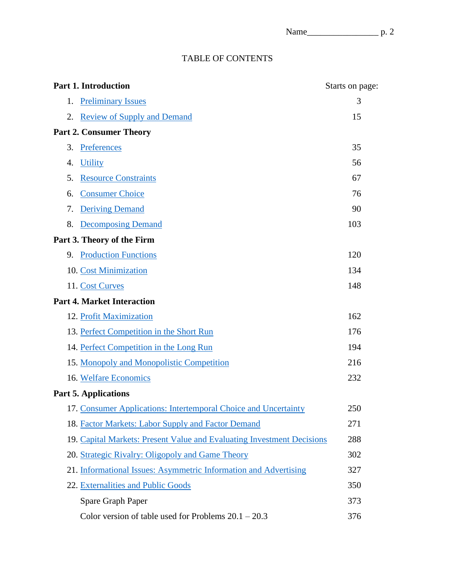## TABLE OF CONTENTS

| <b>Part 1. Introduction</b>                                            | Starts on page: |
|------------------------------------------------------------------------|-----------------|
| <b>Preliminary Issues</b><br>1.                                        | 3               |
| <b>Review of Supply and Demand</b><br>2.                               | 15              |
| <b>Part 2. Consumer Theory</b>                                         |                 |
| 3.<br>Preferences                                                      | 35              |
| <b>Utility</b><br>4.                                                   | 56              |
| <b>Resource Constraints</b><br>5.                                      | 67              |
| <b>Consumer Choice</b><br>6.                                           | 76              |
| 7.<br><b>Deriving Demand</b>                                           | 90              |
| 8.<br><b>Decomposing Demand</b>                                        | 103             |
| Part 3. Theory of the Firm                                             |                 |
| <b>Production Functions</b><br>9.                                      | 120             |
| 10. Cost Minimization                                                  | 134             |
| 11. Cost Curves                                                        | 148             |
| <b>Part 4. Market Interaction</b>                                      |                 |
| 12. Profit Maximization                                                | 162             |
| 13. Perfect Competition in the Short Run                               | 176             |
| 14. Perfect Competition in the Long Run                                | 194             |
| 15. Monopoly and Monopolistic Competition                              | 216             |
| 16. Welfare Economics                                                  | 232             |
| <b>Part 5. Applications</b>                                            |                 |
| 17. Consumer Applications: Intertemporal Choice and Uncertainty        | 250             |
| 18. Factor Markets: Labor Supply and Factor Demand                     | 271             |
| 19. Capital Markets: Present Value and Evaluating Investment Decisions | 288             |
| 20. Strategic Rivalry: Oligopoly and Game Theory                       | 302             |
| 21. Informational Issues: Asymmetric Information and Advertising       | 327             |
| 22. Externalities and Public Goods                                     | 350             |
| Spare Graph Paper                                                      | 373             |
| Color version of table used for Problems $20.1 - 20.3$                 | 376             |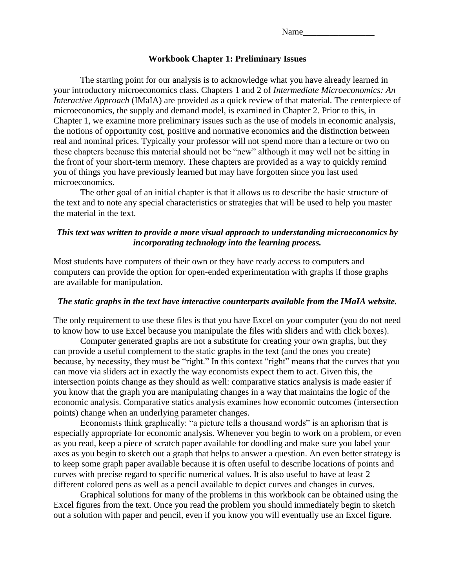| Name |  |  |  |
|------|--|--|--|
|      |  |  |  |
|      |  |  |  |

#### **Workbook Chapter 1: Preliminary Issues**

<span id="page-3-0"></span>The starting point for our analysis is to acknowledge what you have already learned in your introductory microeconomics class. Chapters 1 and 2 of *Intermediate Microeconomics: An Interactive Approach* (IMaIA) are provided as a quick review of that material. The centerpiece of microeconomics, the supply and demand model, is examined in Chapter 2. Prior to this, in Chapter 1, we examine more preliminary issues such as the use of models in economic analysis, the notions of opportunity cost, positive and normative economics and the distinction between real and nominal prices. Typically your professor will not spend more than a lecture or two on these chapters because this material should not be "new" although it may well not be sitting in the front of your short-term memory. These chapters are provided as a way to quickly remind you of things you have previously learned but may have forgotten since you last used microeconomics.

The other goal of an initial chapter is that it allows us to describe the basic structure of the text and to note any special characteristics or strategies that will be used to help you master the material in the text.

#### *This text was written to provide a more visual approach to understanding microeconomics by incorporating technology into the learning process.*

Most students have computers of their own or they have ready access to computers and computers can provide the option for open-ended experimentation with graphs if those graphs are available for manipulation.

#### *The static graphs in the text have interactive counterparts available from the IMaIA website.*

The only requirement to use these files is that you have Excel on your computer (you do not need to know how to use Excel because you manipulate the files with sliders and with click boxes).

Computer generated graphs are not a substitute for creating your own graphs, but they can provide a useful complement to the static graphs in the text (and the ones you create) because, by necessity, they must be "right." In this context "right" means that the curves that you can move via sliders act in exactly the way economists expect them to act. Given this, the intersection points change as they should as well: comparative statics analysis is made easier if you know that the graph you are manipulating changes in a way that maintains the logic of the economic analysis. Comparative statics analysis examines how economic outcomes (intersection points) change when an underlying parameter changes.

Economists think graphically: "a picture tells a thousand words" is an aphorism that is especially appropriate for economic analysis. Whenever you begin to work on a problem, or even as you read, keep a piece of scratch paper available for doodling and make sure you label your axes as you begin to sketch out a graph that helps to answer a question. An even better strategy is to keep some graph paper available because it is often useful to describe locations of points and curves with precise regard to specific numerical values. It is also useful to have at least 2 different colored pens as well as a pencil available to depict curves and changes in curves.

Graphical solutions for many of the problems in this workbook can be obtained using the Excel figures from the text. Once you read the problem you should immediately begin to sketch out a solution with paper and pencil, even if you know you will eventually use an Excel figure.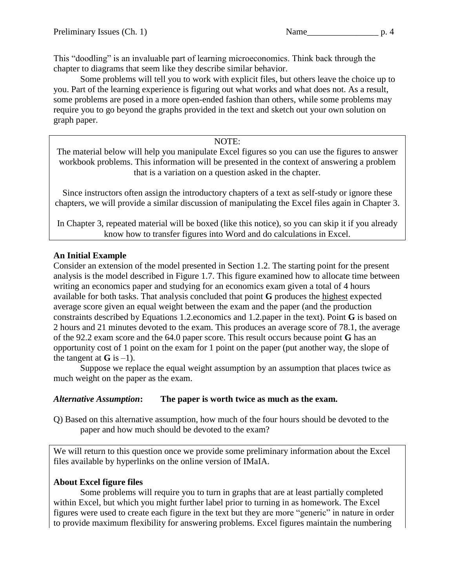This "doodling" is an invaluable part of learning microeconomics. Think back through the chapter to diagrams that seem like they describe similar behavior.

Some problems will tell you to work with explicit files, but others leave the choice up to you. Part of the learning experience is figuring out what works and what does not. As a result, some problems are posed in a more open-ended fashion than others, while some problems may require you to go beyond the graphs provided in the text and sketch out your own solution on graph paper.

#### NOTE:

The material below will help you manipulate Excel figures so you can use the figures to answer workbook problems. This information will be presented in the context of answering a problem that is a variation on a question asked in the chapter.

Since instructors often assign the introductory chapters of a text as self-study or ignore these chapters, we will provide a similar discussion of manipulating the Excel files again in Chapter 3.

In Chapter 3, repeated material will be boxed (like this notice), so you can skip it if you already know how to transfer figures into Word and do calculations in Excel.

#### **An Initial Example**

Consider an extension of the model presented in Section 1.2. The starting point for the present analysis is the model described in Figure 1.7. This figure examined how to allocate time between writing an economics paper and studying for an economics exam given a total of 4 hours available for both tasks. That analysis concluded that point **G** produces the highest expected average score given an equal weight between the exam and the paper (and the production constraints described by Equations 1.2.economics and 1.2.paper in the text). Point **G** is based on 2 hours and 21 minutes devoted to the exam. This produces an average score of 78.1, the average of the 92.2 exam score and the 64.0 paper score. This result occurs because point **G** has an opportunity cost of 1 point on the exam for 1 point on the paper (put another way, the slope of the tangent at  $\bf{G}$  is  $-1$ ).

Suppose we replace the equal weight assumption by an assumption that places twice as much weight on the paper as the exam.

## *Alternative Assumption***: The paper is worth twice as much as the exam.**

Q) Based on this alternative assumption, how much of the four hours should be devoted to the paper and how much should be devoted to the exam?

We will return to this question once we provide some preliminary information about the Excel files available by hyperlinks on the online version of IMaIA.

## **About Excel figure files**

Some problems will require you to turn in graphs that are at least partially completed within Excel, but which you might further label prior to turning in as homework. The Excel figures were used to create each figure in the text but they are more "generic" in nature in order to provide maximum flexibility for answering problems. Excel figures maintain the numbering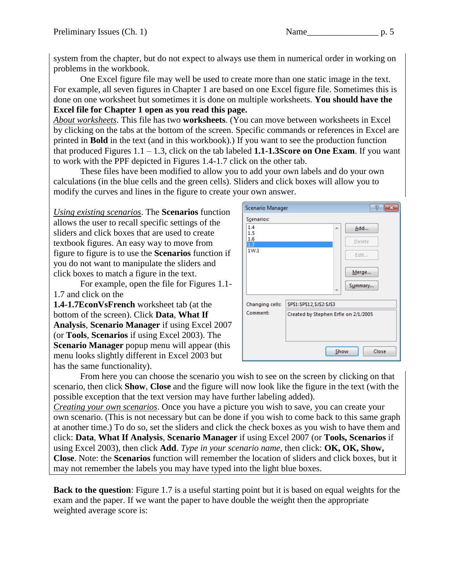system from the chapter, but do not expect to always use them in numerical order in working on problems in the workbook.

One Excel figure file may well be used to create more than one static image in the text. For example, all seven figures in Chapter 1 are based on one Excel figure file. Sometimes this is done on one worksheet but sometimes it is done on multiple worksheets. **You should have the Excel file for Chapter 1 open as you read this page.** 

*About worksheets*. This file has two **worksheets**. (You can move between worksheets in Excel by clicking on the tabs at the bottom of the screen. Specific commands or references in Excel are printed in **Bold** in the text (and in this workbook).) If you want to see the production function that produced Figures  $1.1 - 1.3$ , click on the tab labeled **1.1-1.3Score on One Exam**. If you want to work with the PPF depicted in Figures 1.4-1.7 click on the other tab.

These files have been modified to allow you to add your own labels and do your own calculations (in the blue cells and the green cells). Sliders and click boxes will allow you to modify the curves and lines in the figure to create your own answer.

*Using existing scenarios*. The **Scenarios** function allows the user to recall specific settings of the sliders and click boxes that are used to create textbook figures. An easy way to move from figure to figure is to use the **Scenarios** function if you do not want to manipulate the sliders and click boxes to match a figure in the text.

For example, open the file for Figures 1.1- 1.7 and click on the

**1.4-1.7EconVsFrench** worksheet tab (at the bottom of the screen). Click **Data**, **What If Analysis**, **Scenario Manager** if using Excel 2007 (or **Tools**, **Scenarios** if using Excel 2003). The **Scenario Manager** popup menu will appear (this menu looks slightly different in Excel 2003 but has the same functionality).

| Scenario Manager |                                      | 7             |
|------------------|--------------------------------------|---------------|
| Scenarios:       |                                      |               |
| 1.4<br>1.5       | ×.                                   | Add           |
| 1.6              |                                      | Delete        |
| 17<br>1W.1       |                                      |               |
|                  |                                      | Edit          |
|                  |                                      | Merge         |
|                  |                                      | Summary       |
| Changing cells:  | \$P\$1:\$P\$12,\$J\$2:\$J\$3         |               |
| Comment:         | Created by Stephen Erfle on 2/1/2005 |               |
|                  |                                      |               |
|                  |                                      |               |
|                  |                                      | Show<br>Close |

From here you can choose the scenario you wish to see on the screen by clicking on that scenario, then click **Show**, **Close** and the figure will now look like the figure in the text (with the possible exception that the text version may have further labeling added).

*Creating your own scenarios*. Once you have a picture you wish to save, you can create your own scenario. (This is not necessary but can be done if you wish to come back to this same graph at another time.) To do so, set the sliders and click the check boxes as you wish to have them and click: **Data**, **What If Analysis**, **Scenario Manager** if using Excel 2007 (or **Tools, Scenarios** if using Excel 2003), then click **Add**. *Type in your scenario name,* then click: **OK, OK, Show, Close**. Note: the **Scenarios** function will remember the location of sliders and click boxes, but it may not remember the labels you may have typed into the light blue boxes.

**Back to the question**: Figure 1.7 is a useful starting point but it is based on equal weights for the exam and the paper. If we want the paper to have double the weight then the appropriate weighted average score is: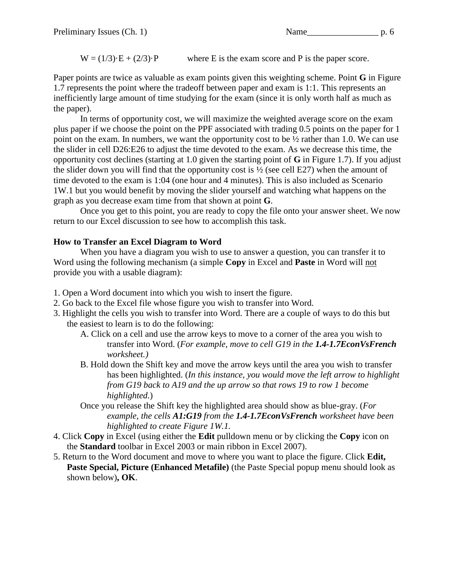$W = (1/3) \cdot E + (2/3) \cdot P$  where E is the exam score and P is the paper score.

Paper points are twice as valuable as exam points given this weighting scheme. Point **G** in Figure 1.7 represents the point where the tradeoff between paper and exam is 1:1. This represents an inefficiently large amount of time studying for the exam (since it is only worth half as much as the paper).

In terms of opportunity cost, we will maximize the weighted average score on the exam plus paper if we choose the point on the PPF associated with trading 0.5 points on the paper for 1 point on the exam. In numbers, we want the opportunity cost to be ½ rather than 1.0. We can use the slider in cell D26:E26 to adjust the time devoted to the exam. As we decrease this time, the opportunity cost declines (starting at 1.0 given the starting point of **G** in Figure 1.7). If you adjust the slider down you will find that the opportunity cost is  $\frac{1}{2}$  (see cell E27) when the amount of time devoted to the exam is 1:04 (one hour and 4 minutes). This is also included as Scenario 1W.1 but you would benefit by moving the slider yourself and watching what happens on the graph as you decrease exam time from that shown at point **G**.

Once you get to this point, you are ready to copy the file onto your answer sheet. We now return to our Excel discussion to see how to accomplish this task.

## **How to Transfer an Excel Diagram to Word**

When you have a diagram you wish to use to answer a question, you can transfer it to Word using the following mechanism (a simple **Copy** in Excel and **Paste** in Word will not provide you with a usable diagram):

- 1. Open a Word document into which you wish to insert the figure.
- 2. Go back to the Excel file whose figure you wish to transfer into Word.
- 3. Highlight the cells you wish to transfer into Word. There are a couple of ways to do this but the easiest to learn is to do the following:
	- A. Click on a cell and use the arrow keys to move to a corner of the area you wish to transfer into Word. (*For example, move to cell G19 in the 1.4-1.7EconVsFrench worksheet.)*
	- B. Hold down the Shift key and move the arrow keys until the area you wish to transfer has been highlighted. (*In this instance, you would move the left arrow to highlight from G19 back to A19 and the up arrow so that rows 19 to row 1 become highlighted.*)
	- Once you release the Shift key the highlighted area should show as blue-gray. (*For example, the cells A1:G19 from the 1.4-1.7EconVsFrench worksheet have been highlighted to create Figure 1W.1.*
- 4. Click **Copy** in Excel (using either the **Edit** pulldown menu or by clicking the **Copy** icon on the **Standard** toolbar in Excel 2003 or main ribbon in Excel 2007).
- 5. Return to the Word document and move to where you want to place the figure. Click **Edit, Paste Special, Picture (Enhanced Metafile)** (the Paste Special popup menu should look as shown below)**, OK**.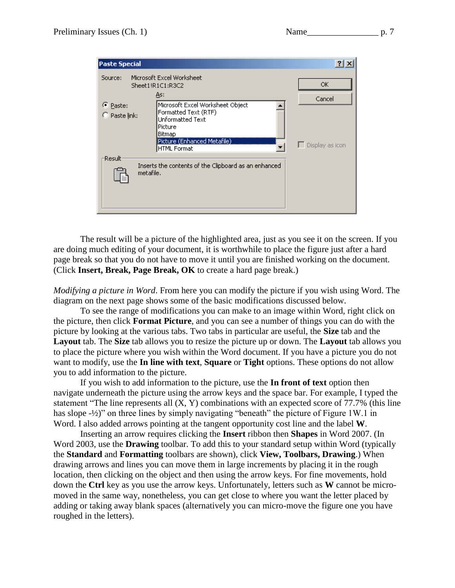| <b>Paste Special</b>                 |                                                                                                                                                  |                        |
|--------------------------------------|--------------------------------------------------------------------------------------------------------------------------------------------------|------------------------|
| Source:                              | Microsoft Excel Worksheet<br>Sheet1!R1C1:R3C2<br>As:                                                                                             | ОК<br>Cancel           |
| C Paste:<br>$\heartsuit$ Paste link: | Microsoft Excel Worksheet Object<br>Formatted Text (RTF)<br>Unformatted Text<br> Picture<br>Bitmap<br>Picture (Enhanced Metafile)<br>HTML Format | $\Box$ Display as icon |
| Result<br>metafile.                  | Inserts the contents of the Clipboard as an enhanced                                                                                             |                        |

The result will be a picture of the highlighted area, just as you see it on the screen. If you are doing much editing of your document, it is worthwhile to place the figure just after a hard page break so that you do not have to move it until you are finished working on the document. (Click **Insert, Break, Page Break, OK** to create a hard page break.)

*Modifying a picture in Word*. From here you can modify the picture if you wish using Word. The diagram on the next page shows some of the basic modifications discussed below.

To see the range of modifications you can make to an image within Word, right click on the picture, then click **Format Picture**, and you can see a number of things you can do with the picture by looking at the various tabs. Two tabs in particular are useful, the **Size** tab and the **Layout** tab. The **Size** tab allows you to resize the picture up or down. The **Layout** tab allows you to place the picture where you wish within the Word document. If you have a picture you do not want to modify, use the **In line with text**, **Square** or **Tight** options. These options do not allow you to add information to the picture.

If you wish to add information to the picture, use the **In front of text** option then navigate underneath the picture using the arrow keys and the space bar. For example, I typed the statement "The line represents all (X, Y) combinations with an expected score of 77.7% (this line has slope -½)" on three lines by simply navigating "beneath" the picture of Figure 1W.1 in Word. I also added arrows pointing at the tangent opportunity cost line and the label **W**.

Inserting an arrow requires clicking the **Insert** ribbon then **Shapes** in Word 2007. (In Word 2003, use the **Drawing** toolbar. To add this to your standard setup within Word (typically the **Standard** and **Formatting** toolbars are shown), click **View, Toolbars, Drawing**.) When drawing arrows and lines you can move them in large increments by placing it in the rough location, then clicking on the object and then using the arrow keys. For fine movements, hold down the **Ctrl** key as you use the arrow keys. Unfortunately, letters such as **W** cannot be micromoved in the same way, nonetheless, you can get close to where you want the letter placed by adding or taking away blank spaces (alternatively you can micro-move the figure one you have roughed in the letters).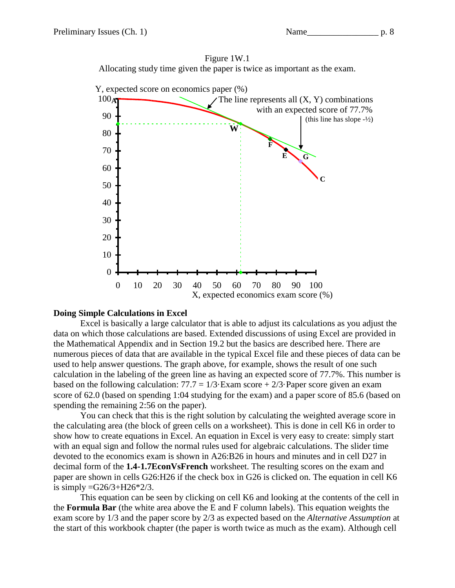



#### **Doing Simple Calculations in Excel**

Excel is basically a large calculator that is able to adjust its calculations as you adjust the data on which those calculations are based. Extended discussions of using Excel are provided in the Mathematical Appendix and in Section 19.2 but the basics are described here. There are numerous pieces of data that are available in the typical Excel file and these pieces of data can be used to help answer questions. The graph above, for example, shows the result of one such calculation in the labeling of the green line as having an expected score of 77.7%. This number is based on the following calculation:  $77.7 = 1/3$ ·Exam score + 2/3·Paper score given an exam score of 62.0 (based on spending 1:04 studying for the exam) and a paper score of 85.6 (based on spending the remaining 2:56 on the paper).

You can check that this is the right solution by calculating the weighted average score in the calculating area (the block of green cells on a worksheet). This is done in cell K6 in order to show how to create equations in Excel. An equation in Excel is very easy to create: simply start with an equal sign and follow the normal rules used for algebraic calculations. The slider time devoted to the economics exam is shown in A26:B26 in hours and minutes and in cell D27 in decimal form of the **1.4-1.7EconVsFrench** worksheet. The resulting scores on the exam and paper are shown in cells G26:H26 if the check box in G26 is clicked on. The equation in cell K6 is simply  $=$  G26/3+H26 $*$ 2/3.

This equation can be seen by clicking on cell K6 and looking at the contents of the cell in the **Formula Bar** (the white area above the E and F column labels). This equation weights the exam score by 1/3 and the paper score by 2/3 as expected based on the *Alternative Assumption* at the start of this workbook chapter (the paper is worth twice as much as the exam). Although cell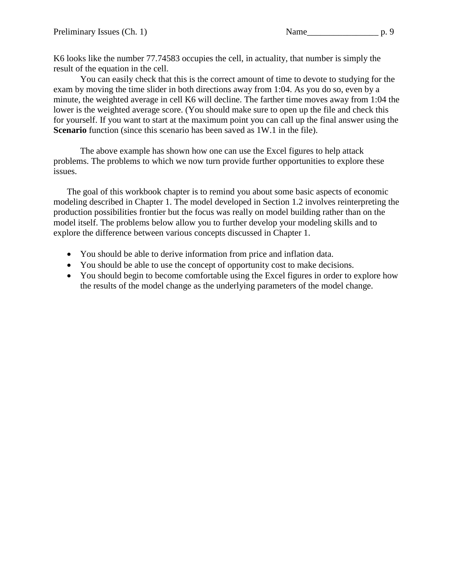K6 looks like the number 77.74583 occupies the cell, in actuality, that number is simply the result of the equation in the cell.

You can easily check that this is the correct amount of time to devote to studying for the exam by moving the time slider in both directions away from 1:04. As you do so, even by a minute, the weighted average in cell K6 will decline. The farther time moves away from 1:04 the lower is the weighted average score. (You should make sure to open up the file and check this for yourself. If you want to start at the maximum point you can call up the final answer using the **Scenario** function (since this scenario has been saved as 1W.1 in the file).

The above example has shown how one can use the Excel figures to help attack problems. The problems to which we now turn provide further opportunities to explore these issues.

The goal of this workbook chapter is to remind you about some basic aspects of economic modeling described in Chapter 1. The model developed in Section 1.2 involves reinterpreting the production possibilities frontier but the focus was really on model building rather than on the model itself. The problems below allow you to further develop your modeling skills and to explore the difference between various concepts discussed in Chapter 1.

- You should be able to derive information from price and inflation data.
- You should be able to use the concept of opportunity cost to make decisions.
- You should begin to become comfortable using the Excel figures in order to explore how the results of the model change as the underlying parameters of the model change.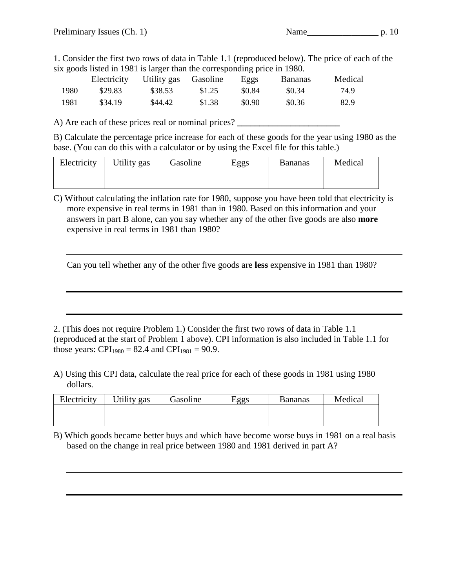1. Consider the first two rows of data in Table 1.1 (reproduced below). The price of each of the six goods listed in 1981 is larger than the corresponding price in 1980.

|      | Electricity | Utility gas | Gasoline | Eggs   | <b>Bananas</b> | Medical |
|------|-------------|-------------|----------|--------|----------------|---------|
| 1980 | \$29.83     | \$38.53     | \$1.25   | \$0.84 | \$0.34         | 74.9    |
| 1981 | \$34.19     | \$44.42     | \$1.38   | \$0.90 | \$0.36         | 82.9    |

A) Are each of these prices real or nominal prices? **\_\_\_\_\_\_\_\_\_\_\_\_\_\_\_\_\_\_\_\_\_\_\_**

B) Calculate the percentage price increase for each of these goods for the year using 1980 as the base. (You can do this with a calculator or by using the Excel file for this table.)

| Electricity | Utility gas | Gasoline | Eggs | <b>Bananas</b> | Medical |
|-------------|-------------|----------|------|----------------|---------|
|             |             |          |      |                |         |
|             |             |          |      |                |         |

C) Without calculating the inflation rate for 1980, suppose you have been told that electricity is more expensive in real terms in 1981 than in 1980. Based on this information and your answers in part B alone, can you say whether any of the other five goods are also **more**  expensive in real terms in 1981 than 1980?

Can you tell whether any of the other five goods are **less** expensive in 1981 than 1980?

2. (This does not require Problem 1.) Consider the first two rows of data in Table 1.1 (reproduced at the start of Problem 1 above). CPI information is also included in Table 1.1 for those years: CPI<sub>1980</sub> = 82.4 and CPI<sub>1981</sub> = 90.9.

A) Using this CPI data, calculate the real price for each of these goods in 1981 using 1980 dollars.

| Electricity | Utility gas | Gasoline | Eggs | <b>Bananas</b> | Medical |
|-------------|-------------|----------|------|----------------|---------|
|             |             |          |      |                |         |
|             |             |          |      |                |         |

B) Which goods became better buys and which have become worse buys in 1981 on a real basis based on the change in real price between 1980 and 1981 derived in part A?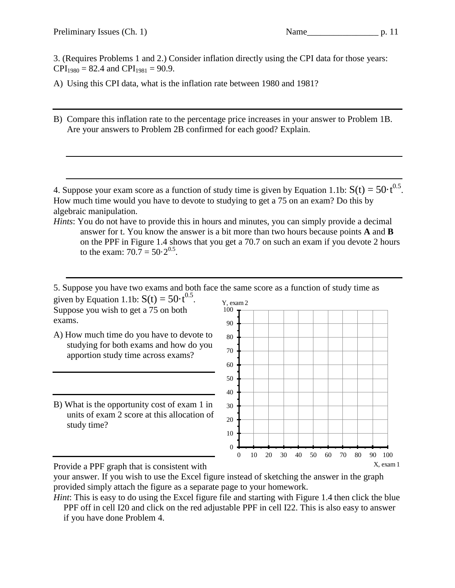3. (Requires Problems 1 and 2.) Consider inflation directly using the CPI data for those years:  $CPI_{1980} = 82.4$  and  $CPI_{1981} = 90.9$ .

A) Using this CPI data, what is the inflation rate between 1980 and 1981?

B) Compare this inflation rate to the percentage price increases in your answer to Problem 1B. Are your answers to Problem 2B confirmed for each good? Explain.

4. Suppose your exam score as a function of study time is given by Equation 1.1b:  $S(t) = 50 \cdot t^{0.5}$ . How much time would you have to devote to studying to get a 75 on an exam? Do this by algebraic manipulation.

*Hints*: You do not have to provide this in hours and minutes, you can simply provide a decimal answer for t. You know the answer is a bit more than two hours because points **A** and **B** on the PPF in Figure 1.4 shows that you get a 70.7 on such an exam if you devote 2 hours to the exam:  $70.7 = 50.2^{0.5}$ .

5. Suppose you have two exams and both face the same score as a function of study time as given by Equation 1.1b:  $S(t) = 50 \cdot t^{0.5}$ . Suppose you wish to get a 75 on both exams. Y, exam 2 100

- A) How much time do you have to devote to studying for both exams and how do you apportion study time across exams?
- B) What is the opportunity cost of exam 1 in units of exam 2 score at this allocation of study time?



Provide a PPF graph that is consistent with

*Hint*: This is easy to do using the Excel figure file and starting with Figure 1.4 then click the blue

your answer. If you wish to use the Excel figure instead of sketching the answer in the graph provided simply attach the figure as a separate page to your homework.

PPF off in cell I20 and click on the red adjustable PPF in cell I22. This is also easy to answer if you have done Problem 4.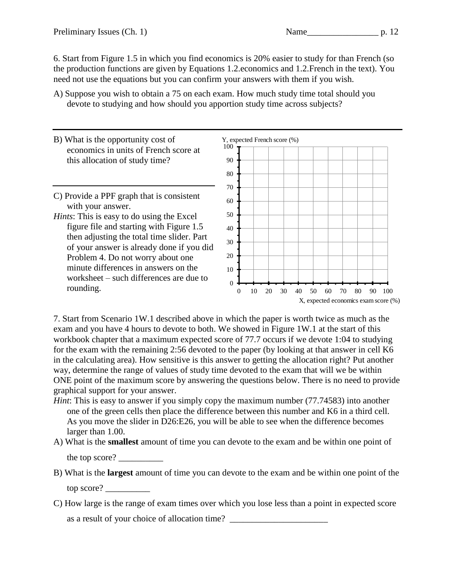6. Start from Figure 1.5 in which you find economics is 20% easier to study for than French (so the production functions are given by Equations 1.2.economics and 1.2.French in the text). You need not use the equations but you can confirm your answers with them if you wish.

- A) Suppose you wish to obtain a 75 on each exam. How much study time total should you devote to studying and how should you apportion study time across subjects?
- B) What is the opportunity cost of economics in units of French score at this allocation of study time?
- C) Provide a PPF graph that is consistent with your answer.
- *Hints*: This is easy to do using the Excel figure file and starting with Figure 1.5 then adjusting the total time slider. Part of your answer is already done if you did Problem 4. Do not worry about one minute differences in answers on the worksheet – such differences are due to rounding.



7. Start from Scenario 1W.1 described above in which the paper is worth twice as much as the exam and you have 4 hours to devote to both. We showed in Figure 1W.1 at the start of this workbook chapter that a maximum expected score of 77.7 occurs if we devote 1:04 to studying for the exam with the remaining 2:56 devoted to the paper (by looking at that answer in cell K6 in the calculating area). How sensitive is this answer to getting the allocation right? Put another way, determine the range of values of study time devoted to the exam that will we be within ONE point of the maximum score by answering the questions below. There is no need to provide graphical support for your answer.

- *Hint*: This is easy to answer if you simply copy the maximum number (77.74583) into another one of the green cells then place the difference between this number and K6 in a third cell. As you move the slider in D26:E26, you will be able to see when the difference becomes larger than 1.00.
- A) What is the **smallest** amount of time you can devote to the exam and be within one point of the top score? \_\_\_\_\_\_\_\_\_\_
- B) What is the **largest** amount of time you can devote to the exam and be within one point of the top score? \_\_\_\_\_\_\_\_\_\_
- C) How large is the range of exam times over which you lose less than a point in expected score as a result of your choice of allocation time?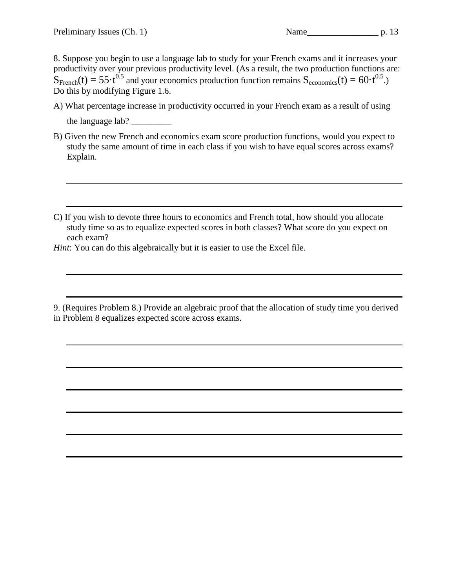8. Suppose you begin to use a language lab to study for your French exams and it increases your productivity over your previous productivity level. (As a result, the two production functions are:  $S_{\text{French}}(t) = 55 \cdot t^{0.5}$  and your economics production function remains  $S_{\text{economics}}(t) = 60 \cdot t^{0.5}$ . Do this by modifying Figure 1.6.

- A) What percentage increase in productivity occurred in your French exam as a result of using the language lab?
- B) Given the new French and economics exam score production functions, would you expect to study the same amount of time in each class if you wish to have equal scores across exams? Explain.
- C) If you wish to devote three hours to economics and French total, how should you allocate study time so as to equalize expected scores in both classes? What score do you expect on each exam?

*Hint*: You can do this algebraically but it is easier to use the Excel file.

<sup>9. (</sup>Requires Problem 8.) Provide an algebraic proof that the allocation of study time you derived in Problem 8 equalizes expected score across exams.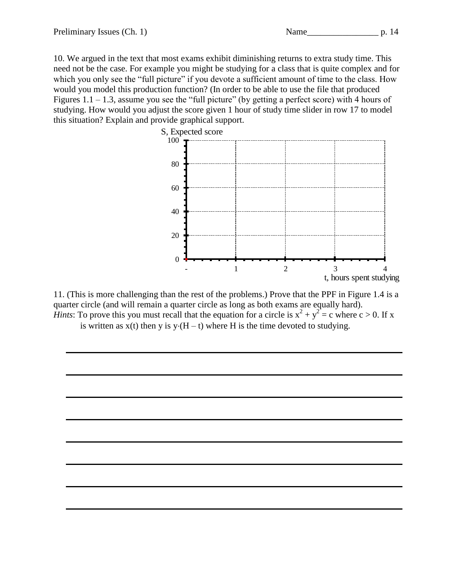10. We argued in the text that most exams exhibit diminishing returns to extra study time. This need not be the case. For example you might be studying for a class that is quite complex and for which you only see the "full picture" if you devote a sufficient amount of time to the class. How would you model this production function? (In order to be able to use the file that produced Figures  $1.1 - 1.3$ , assume you see the "full picture" (by getting a perfect score) with 4 hours of studying. How would you adjust the score given 1 hour of study time slider in row 17 to model this situation? Explain and provide graphical support.



11. (This is more challenging than the rest of the problems.) Prove that the PPF in Figure 1.4 is a quarter circle (and will remain a quarter circle as long as both exams are equally hard). *Hints*: To prove this you must recall that the equation for a circle is  $x^2 + y^2 = c$  where  $c > 0$ . If x

is written as  $x(t)$  then y is  $y(H - t)$  where H is the time devoted to studying.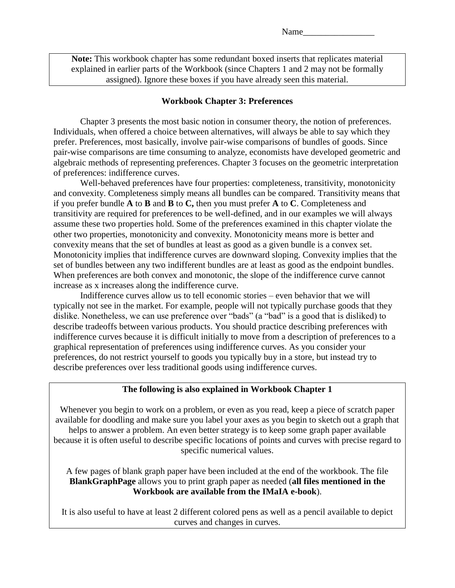**Note:** This workbook chapter has some redundant boxed inserts that replicates material explained in earlier parts of the Workbook (since Chapters 1 and 2 may not be formally assigned). Ignore these boxes if you have already seen this material.

#### **Workbook Chapter 3: Preferences**

<span id="page-15-0"></span>Chapter 3 presents the most basic notion in consumer theory, the notion of preferences. Individuals, when offered a choice between alternatives, will always be able to say which they prefer. Preferences, most basically, involve pair-wise comparisons of bundles of goods. Since pair-wise comparisons are time consuming to analyze, economists have developed geometric and algebraic methods of representing preferences. Chapter 3 focuses on the geometric interpretation of preferences: indifference curves.

Well-behaved preferences have four properties: completeness, transitivity, monotonicity and convexity. Completeness simply means all bundles can be compared. Transitivity means that if you prefer bundle **A** to **B** and **B** to **C,** then you must prefer **A** to **C**. Completeness and transitivity are required for preferences to be well-defined, and in our examples we will always assume these two properties hold. Some of the preferences examined in this chapter violate the other two properties, monotonicity and convexity. Monotonicity means more is better and convexity means that the set of bundles at least as good as a given bundle is a convex set. Monotonicity implies that indifference curves are downward sloping. Convexity implies that the set of bundles between any two indifferent bundles are at least as good as the endpoint bundles. When preferences are both convex and monotonic, the slope of the indifference curve cannot increase as x increases along the indifference curve.

Indifference curves allow us to tell economic stories – even behavior that we will typically not see in the market. For example, people will not typically purchase goods that they dislike. Nonetheless, we can use preference over "bads" (a "bad" is a good that is disliked) to describe tradeoffs between various products. You should practice describing preferences with indifference curves because it is difficult initially to move from a description of preferences to a graphical representation of preferences using indifference curves. As you consider your preferences, do not restrict yourself to goods you typically buy in a store, but instead try to describe preferences over less traditional goods using indifference curves.

#### **The following is also explained in Workbook Chapter 1**

Whenever you begin to work on a problem, or even as you read, keep a piece of scratch paper available for doodling and make sure you label your axes as you begin to sketch out a graph that helps to answer a problem. An even better strategy is to keep some graph paper available because it is often useful to describe specific locations of points and curves with precise regard to specific numerical values.

A few pages of blank graph paper have been included at the end of the workbook. The file **BlankGraphPage** allows you to print graph paper as needed (**all files mentioned in the Workbook are available from the IMaIA e-book**).

It is also useful to have at least 2 different colored pens as well as a pencil available to depict curves and changes in curves.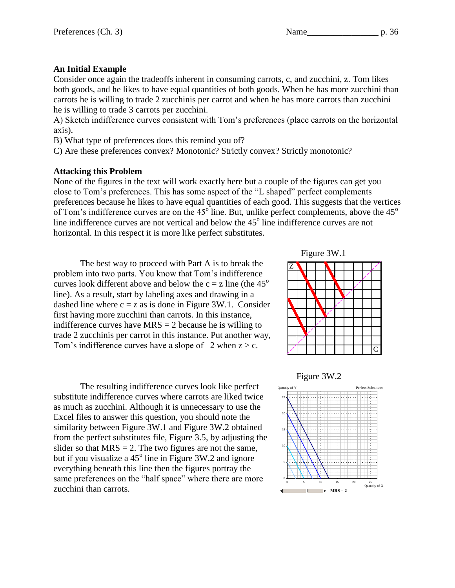## Preferences (Ch. 3) Name p. 36

## **An Initial Example**

Consider once again the tradeoffs inherent in consuming carrots, c, and zucchini, z. Tom likes both goods, and he likes to have equal quantities of both goods. When he has more zucchini than carrots he is willing to trade 2 zucchinis per carrot and when he has more carrots than zucchini he is willing to trade 3 carrots per zucchini.

A) Sketch indifference curves consistent with Tom's preferences (place carrots on the horizontal axis).

B) What type of preferences does this remind you of?

C) Are these preferences convex? Monotonic? Strictly convex? Strictly monotonic?

#### **Attacking this Problem**

None of the figures in the text will work exactly here but a couple of the figures can get you close to Tom's preferences. This has some aspect of the "L shaped" perfect complements preferences because he likes to have equal quantities of each good. This suggests that the vertices of Tom's indifference curves are on the  $45^{\circ}$  line. But, unlike perfect complements, above the  $45^{\circ}$ line indifference curves are not vertical and below the  $45^{\circ}$  line indifference curves are not horizontal. In this respect it is more like perfect substitutes.

The best way to proceed with Part A is to break the problem into two parts. You know that Tom's indifference curves look different above and below the  $c = z$  line (the 45<sup>o</sup>) line). As a result, start by labeling axes and drawing in a dashed line where  $c = z$  as is done in Figure 3W.1. Consider first having more zucchini than carrots. In this instance, indifference curves have  $MRS = 2$  because he is willing to trade 2 zucchinis per carrot in this instance. Put another way, Tom's indifference curves have a slope of  $-2$  when  $z > c$ .

The resulting indifference curves look like perfect substitute indifference curves where carrots are liked twice as much as zucchini. Although it is unnecessary to use the Excel files to answer this question, you should note the similarity between Figure 3W.1 and Figure 3W.2 obtained from the perfect substitutes file, Figure 3.5, by adjusting the slider so that  $MRS = 2$ . The two figures are not the same, but if you visualize a  $45^{\circ}$  line in Figure 3W.2 and ignore everything beneath this line then the figures portray the same preferences on the "half space" where there are more zucchini than carrots.



## Figure 3W.2

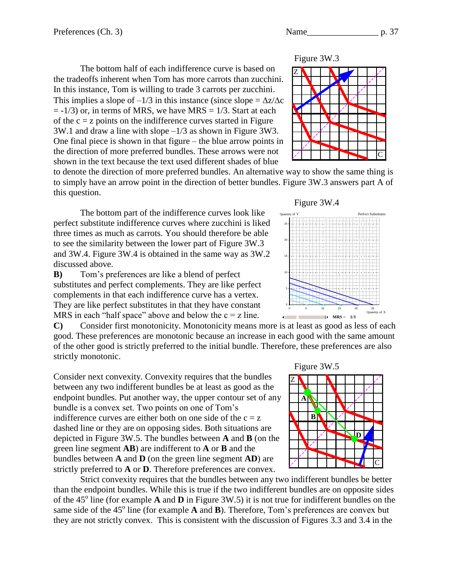

The bottom half of each indifference curve is based on the tradeoffs inherent when Tom has more carrots than zucchini. In this instance, Tom is willing to trade 3 carrots per zucchini. This implies a slope of  $-1/3$  in this instance (since slope =  $\Delta z/\Delta c$ )  $= -1/3$ ) or, in terms of MRS, we have MRS  $= 1/3$ . Start at each of the  $c = z$  points on the indifference curves started in Figure 3W.1 and draw a line with slope –1/3 as shown in Figure 3W3. One final piece is shown in that figure – the blue arrow points in the direction of more preferred bundles. These arrows were not shown in the text because the text used different shades of blue

to denote the direction of more preferred bundles. An alternative way to show the same thing is to simply have an arrow point in the direction of better bundles. Figure 3W.3 answers part A of this question.

The bottom part of the indifference curves look like perfect substitute indifference curves where zucchini is liked three times as much as carrots. You should therefore be able to see the similarity between the lower part of Figure 3W.3 and 3W.4. Figure 3W.4 is obtained in the same way as 3W.2 discussed above.

**B)** Tom's preferences are like a blend of perfect substitutes and perfect complements. They are like perfect complements in that each indifference curve has a vertex. They are like perfect substitutes in that they have constant MRS in each "half space" above and below the  $c = z$  line.

**C)** Consider first monotonicity. Monotonicity means more is at least as good as less of each good. These preferences are monotonic because an increase in each good with the same amount of the other good is strictly preferred to the initial bundle. Therefore, these preferences are also strictly monotonic.

Consider next convexity. Convexity requires that the bundles between any two indifferent bundles be at least as good as the endpoint bundles. Put another way, the upper contour set of any bundle is a convex set. Two points on one of Tom's indifference curves are either both on one side of the  $c = z$ dashed line or they are on opposing sides. Both situations are depicted in Figure 3W.5. The bundles between **A** and **B** (on the green line segment **AB**) are indifferent to **A** or **B** and the bundles between **A** and **D** (on the green line segment **AD**) are strictly preferred to **A** or **D**. Therefore preferences are convex.

Strict convexity requires that the bundles between any two indifferent bundles be better than the endpoint bundles. While this is true if the two indifferent bundles are on opposite sides of the  $45^\circ$  line (for example **A** and **D** in Figure 3W.5) it is not true for indifferent bundles on the same side of the  $45^{\circ}$  line (for example **A** and **B**). Therefore, Tom's preferences are convex but they are not strictly convex. This is consistent with the discussion of Figures 3.3 and 3.4 in the





Figure 3W.5

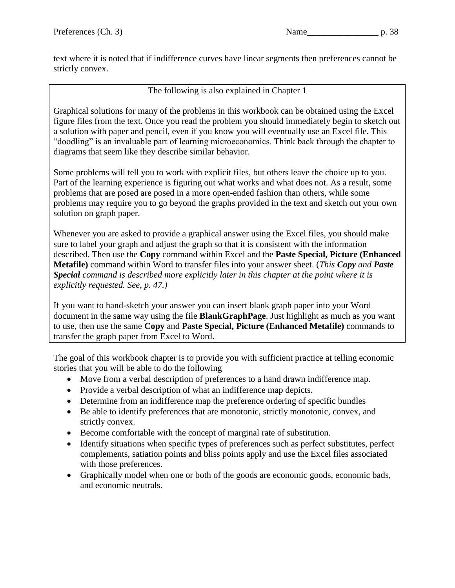text where it is noted that if indifference curves have linear segments then preferences cannot be strictly convex.

The following is also explained in Chapter 1

Graphical solutions for many of the problems in this workbook can be obtained using the Excel figure files from the text. Once you read the problem you should immediately begin to sketch out a solution with paper and pencil, even if you know you will eventually use an Excel file. This "doodling" is an invaluable part of learning microeconomics. Think back through the chapter to diagrams that seem like they describe similar behavior.

Some problems will tell you to work with explicit files, but others leave the choice up to you. Part of the learning experience is figuring out what works and what does not. As a result, some problems that are posed are posed in a more open-ended fashion than others, while some problems may require you to go beyond the graphs provided in the text and sketch out your own solution on graph paper.

Whenever you are asked to provide a graphical answer using the Excel files, you should make sure to label your graph and adjust the graph so that it is consistent with the information described. Then use the **Copy** command within Excel and the **Paste Special, Picture (Enhanced Metafile)** command within Word to transfer files into your answer sheet. (*This Copy and Paste Special command is described more explicitly later in this chapter at the point where it is explicitly requested. See, p. 47.)*

If you want to hand-sketch your answer you can insert blank graph paper into your Word document in the same way using the file **BlankGraphPage**. Just highlight as much as you want to use, then use the same **Copy** and **Paste Special, Picture (Enhanced Metafile)** commands to transfer the graph paper from Excel to Word.

The goal of this workbook chapter is to provide you with sufficient practice at telling economic stories that you will be able to do the following

- Move from a verbal description of preferences to a hand drawn indifference map.
- Provide a verbal description of what an indifference map depicts.
- Determine from an indifference map the preference ordering of specific bundles
- Be able to identify preferences that are monotonic, strictly monotonic, convex, and strictly convex.
- Become comfortable with the concept of marginal rate of substitution.
- Identify situations when specific types of preferences such as perfect substitutes, perfect complements, satiation points and bliss points apply and use the Excel files associated with those preferences.
- Graphically model when one or both of the goods are economic goods, economic bads, and economic neutrals.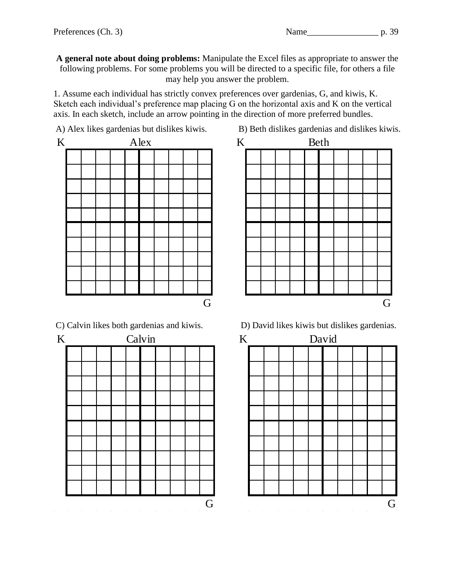**A general note about doing problems:** Manipulate the Excel files as appropriate to answer the following problems. For some problems you will be directed to a specific file, for others a file may help you answer the problem.

1. Assume each individual has strictly convex preferences over gardenias, G, and kiwis, K. Sketch each individual's preference map placing G on the horizontal axis and K on the vertical axis. In each sketch, include an arrow pointing in the direction of more preferred bundles.



K Calvin K  $\mathcal{L}(\mathcal{L}(\mathcal{L}))$  , and  $\mathcal{L}(\mathcal{L}(\mathcal{L}))$  , and  $\mathcal{L}^{\mathcal{L}}(\mathcal{L}^{\mathcal{L}})$  and  $\mathcal{L}^{\mathcal{L}}(\mathcal{L}^{\mathcal{L}})$  $\sim 100$  $\sim$ 

 $\sim$ 



C) Calvin likes both gardenias and kiwis. D) David likes kiwis but dislikes gardenias.

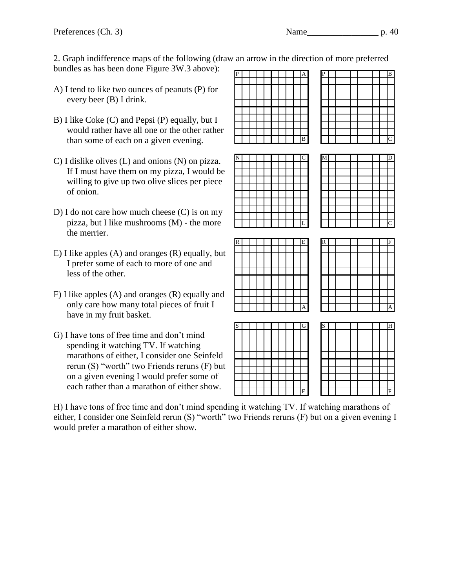2. Graph indifference maps of the following (draw an arrow in the direction of more preferred bundles as has been done Figure 3W.3 above):

- A) I tend to like two ounces of peanuts (P) for every beer (B) I drink.
- B) I like Coke (C) and Pepsi (P) equally, but I would rather have all one or the other rather than some of each on a given evening.
- C) I dislike olives (L) and onions (N) on pizza. If I must have them on my pizza, I would be willing to give up two olive slices per piece of onion.
- D) I do not care how much cheese (C) is on my pizza, but I like mushrooms (M) - the more the merrier.
- E) I like apples (A) and oranges (R) equally, but I prefer some of each to more of one and less of the other.
- F) I like apples (A) and oranges (R) equally and only care how many total pieces of fruit I have in my fruit basket.
- G) I have tons of free time and don't mind spending it watching TV. If watching marathons of either, I consider one Seinfeld rerun (S) "worth" two Friends reruns (F) but on a given evening I would prefer some of each rather than a marathon of either show.

P A P B B IIIIIIIC N C M D L IIIIIII C R E R F A IIIIIIIIA S G S H

F IIIIIIII

H) I have tons of free time and don't mind spending it watching TV. If watching marathons of either, I consider one Seinfeld rerun (S) "worth" two Friends reruns (F) but on a given evening I would prefer a marathon of either show.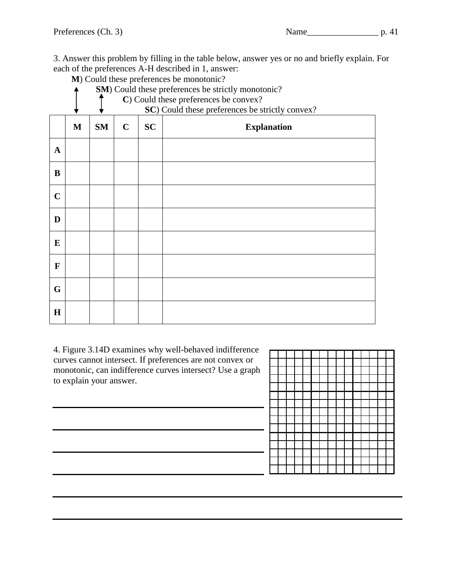**M**) Could these preferences be monotonic?

|              |              | SM) Could these preferences be strictly monotonic? |             |                                                                                          |                    |  |  |  |  |  |  |  |
|--------------|--------------|----------------------------------------------------|-------------|------------------------------------------------------------------------------------------|--------------------|--|--|--|--|--|--|--|
|              |              |                                                    |             | C) Could these preferences be convex?<br>SC) Could these preferences be strictly convex? |                    |  |  |  |  |  |  |  |
|              |              |                                                    |             |                                                                                          |                    |  |  |  |  |  |  |  |
|              | $\mathbf{M}$ | <b>SM</b>                                          | $\mathbf C$ | <b>SC</b>                                                                                | <b>Explanation</b> |  |  |  |  |  |  |  |
| $\mathbf{A}$ |              |                                                    |             |                                                                                          |                    |  |  |  |  |  |  |  |
| B            |              |                                                    |             |                                                                                          |                    |  |  |  |  |  |  |  |
| $\mathbf C$  |              |                                                    |             |                                                                                          |                    |  |  |  |  |  |  |  |
| D            |              |                                                    |             |                                                                                          |                    |  |  |  |  |  |  |  |
| ${\bf E}$    |              |                                                    |             |                                                                                          |                    |  |  |  |  |  |  |  |
| $\mathbf{F}$ |              |                                                    |             |                                                                                          |                    |  |  |  |  |  |  |  |
| G            |              |                                                    |             |                                                                                          |                    |  |  |  |  |  |  |  |
| H            |              |                                                    |             |                                                                                          |                    |  |  |  |  |  |  |  |

4. Figure 3.14D examines why well-behaved indifference curves cannot intersect. If preferences are not convex or monotonic, can indifference curves intersect? Use a graph to explain your answer.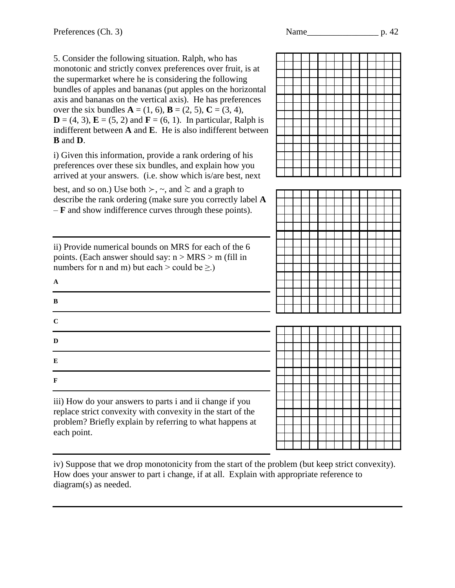5. Consider the following situation. Ralph, who has monotonic and strictly convex preferences over fruit, is at the supermarket where he is considering the following bundles of apples and bananas (put apples on the horizontal axis and bananas on the vertical axis). He has preferences over the six bundles  $A = (1, 6)$ ,  $B = (2, 5)$ ,  $C = (3, 4)$ ,  $D = (4, 3)$ ,  $E = (5, 2)$  and  $F = (6, 1)$ . In particular, Ralph is indifferent between **A** and **E**. He is also indifferent between **B** and **D**.

i) Given this information, provide a rank ordering of his preferences over these six bundles, and explain how you arrived at your answers. (i.e. show which is/are best, next

best, and so on.) Use both  $\succ$ ,  $\sim$ , and  $\gtrsim$  and a graph to describe the rank ordering (make sure you correctly label **A** – **F** and show indifference curves through these points).

ii) Provide numerical bounds on MRS for each of the 6 points. (Each answer should say:  $n > MRS > m$  (fill in numbers for n and m) but each > could be  $\geq$ .)

| $\mathbf A$ |  |  |  |
|-------------|--|--|--|
| B           |  |  |  |
| $\bf C$     |  |  |  |
| $\mathbf D$ |  |  |  |
| ${\bf E}$   |  |  |  |
| $\mathbf F$ |  |  |  |

iii) How do your answers to parts i and ii change if you replace strict convexity with convexity in the start of the problem? Briefly explain by referring to what happens at each point.

iv) Suppose that we drop monotonicity from the start of the problem (but keep strict convexity). How does your answer to part i change, if at all. Explain with appropriate reference to diagram(s) as needed.





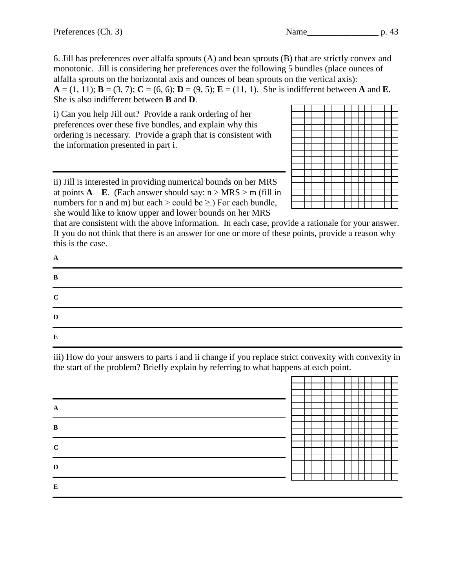6. Jill has preferences over alfalfa sprouts (A) and bean sprouts (B) that are strictly convex and monotonic. Jill is considering her preferences over the following 5 bundles (place ounces of alfalfa sprouts on the horizontal axis and ounces of bean sprouts on the vertical axis):  $A = (1, 11)$ ;  $B = (3, 7)$ ;  $C = (6, 6)$ ;  $D = (9, 5)$ ;  $E = (11, 1)$ . She is indifferent between **A** and **E**. She is also indifferent between **B** and **D**.

i) Can you help Jill out? Provide a rank ordering of her preferences over these five bundles, and explain why this ordering is necessary. Provide a graph that is consistent with the information presented in part i.

ii) Jill is interested in providing numerical bounds on her MRS at points  $\mathbf{A} - \mathbf{E}$ . (Each answer should say:  $n > MRS > m$  (fill in numbers for n and m) but each > could be  $\geq$ .) For each bundle, she would like to know upper and lower bounds on her MRS

that are consistent with the above information. In each case, provide a rationale for your answer. If you do not think that there is an answer for one or more of these points, provide a reason why this is the case.

| A           |  |  |
|-------------|--|--|
| B           |  |  |
| $\mathbf C$ |  |  |
| D           |  |  |
| E           |  |  |

iii) How do your answers to parts i and ii change if you replace strict convexity with convexity in the start of the problem? Briefly explain by referring to what happens at each point.

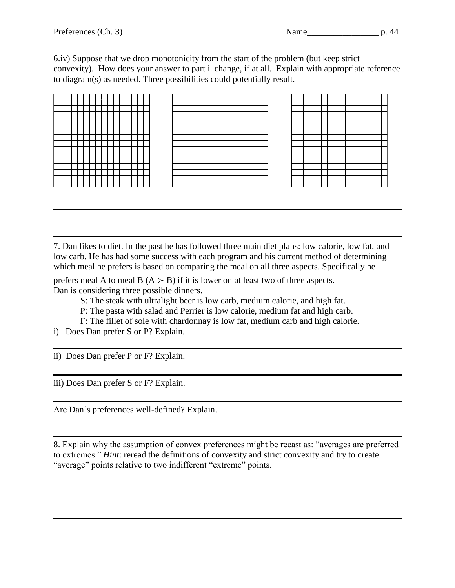6.iv) Suppose that we drop monotonicity from the start of the problem (but keep strict convexity). How does your answer to part i. change, if at all. Explain with appropriate reference to diagram(s) as needed. Three possibilities could potentially result.

7. Dan likes to diet. In the past he has followed three main diet plans: low calorie, low fat, and low carb. He has had some success with each program and his current method of determining which meal he prefers is based on comparing the meal on all three aspects. Specifically he

prefers meal A to meal B  $(A \gt B)$  if it is lower on at least two of three aspects. Dan is considering three possible dinners.

- S: The steak with ultralight beer is low carb, medium calorie, and high fat.
- P: The pasta with salad and Perrier is low calorie, medium fat and high carb.
- F: The fillet of sole with chardonnay is low fat, medium carb and high calorie.
- i) Does Dan prefer S or P? Explain.

ii) Does Dan prefer P or F? Explain.

iii) Does Dan prefer S or F? Explain.

Are Dan's preferences well-defined? Explain.

8. Explain why the assumption of convex preferences might be recast as: "averages are preferred to extremes." *Hint*: reread the definitions of convexity and strict convexity and try to create "average" points relative to two indifferent "extreme" points.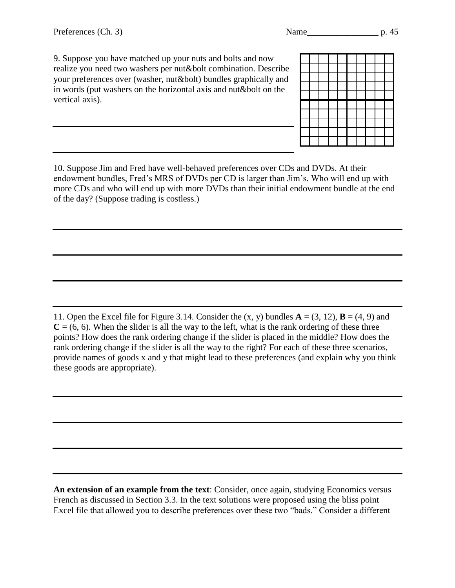9. Suppose you have matched up your nuts and bolts and now realize you need two washers per nut&bolt combination. Describe your preferences over (washer, nut&bolt) bundles graphically and in words (put washers on the horizontal axis and nut&bolt on the vertical axis).

10. Suppose Jim and Fred have well-behaved preferences over CDs and DVDs. At their endowment bundles, Fred's MRS of DVDs per CD is larger than Jim's. Who will end up with more CDs and who will end up with more DVDs than their initial endowment bundle at the end of the day? (Suppose trading is costless.)

11. Open the Excel file for Figure 3.14. Consider the  $(x, y)$  bundles  $\mathbf{A} = (3, 12)$ ,  $\mathbf{B} = (4, 9)$  and  $C = (6, 6)$ . When the slider is all the way to the left, what is the rank ordering of these three points? How does the rank ordering change if the slider is placed in the middle? How does the rank ordering change if the slider is all the way to the right? For each of these three scenarios, provide names of goods x and y that might lead to these preferences (and explain why you think these goods are appropriate).

**An extension of an example from the text**: Consider, once again, studying Economics versus French as discussed in Section 3.3. In the text solutions were proposed using the bliss point Excel file that allowed you to describe preferences over these two "bads." Consider a different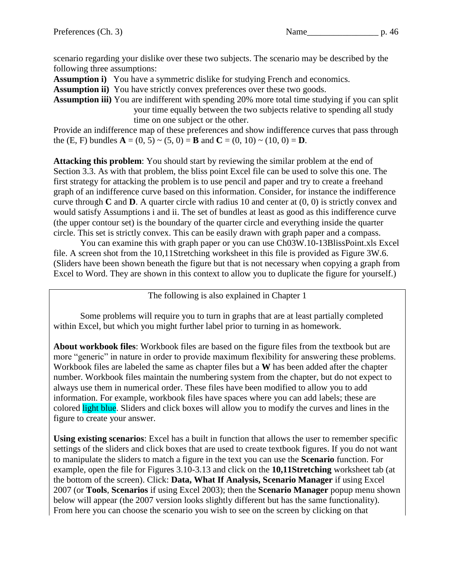scenario regarding your dislike over these two subjects. The scenario may be described by the following three assumptions:

**Assumption i)** You have a symmetric dislike for studying French and economics.

**Assumption ii)** You have strictly convex preferences over these two goods.

**Assumption iii)** You are indifferent with spending 20% more total time studying if you can split your time equally between the two subjects relative to spending all study time on one subject or the other.

Provide an indifference map of these preferences and show indifference curves that pass through the (E, F) bundles  $A = (0, 5) \sim (5, 0) = B$  and  $C = (0, 10) \sim (10, 0) = D$ .

**Attacking this problem**: You should start by reviewing the similar problem at the end of Section 3.3. As with that problem, the bliss point Excel file can be used to solve this one. The first strategy for attacking the problem is to use pencil and paper and try to create a freehand graph of an indifference curve based on this information. Consider, for instance the indifference curve through **C** and **D**. A quarter circle with radius 10 and center at (0, 0) is strictly convex and would satisfy Assumptions i and ii. The set of bundles at least as good as this indifference curve (the upper contour set) is the boundary of the quarter circle and everything inside the quarter circle. This set is strictly convex. This can be easily drawn with graph paper and a compass.

You can examine this with graph paper or you can use Ch03W.10-13BlissPoint.xls Excel file. A screen shot from the 10,11Stretching worksheet in this file is provided as Figure 3W.6. (Sliders have been shown beneath the figure but that is not necessary when copying a graph from Excel to Word. They are shown in this context to allow you to duplicate the figure for yourself.)

The following is also explained in Chapter 1

Some problems will require you to turn in graphs that are at least partially completed within Excel, but which you might further label prior to turning in as homework.

**About workbook files**: Workbook files are based on the figure files from the textbook but are more "generic" in nature in order to provide maximum flexibility for answering these problems. Workbook files are labeled the same as chapter files but a **W** has been added after the chapter number. Workbook files maintain the numbering system from the chapter, but do not expect to always use them in numerical order. These files have been modified to allow you to add information. For example, workbook files have spaces where you can add labels; these are colored light blue. Sliders and click boxes will allow you to modify the curves and lines in the figure to create your answer.

**Using existing scenarios**: Excel has a built in function that allows the user to remember specific settings of the sliders and click boxes that are used to create textbook figures. If you do not want to manipulate the sliders to match a figure in the text you can use the **Scenario** function. For example, open the file for Figures 3.10-3.13 and click on the **10,11Stretching** worksheet tab (at the bottom of the screen). Click: **Data, What If Analysis, Scenario Manager** if using Excel 2007 (or **Tools**, **Scenarios** if using Excel 2003); then the **Scenario Manager** popup menu shown below will appear (the 2007 version looks slightly different but has the same functionality). From here you can choose the scenario you wish to see on the screen by clicking on that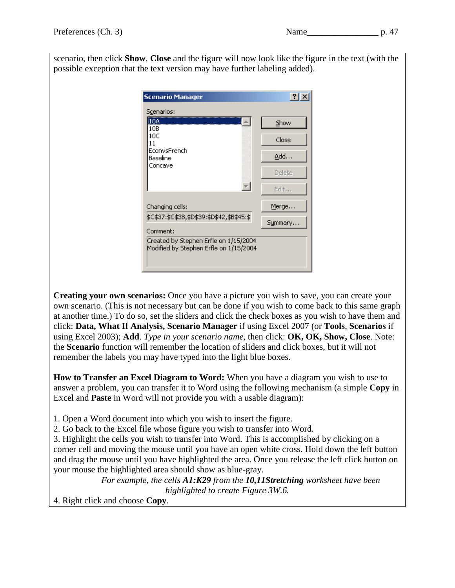scenario, then click **Show**, **Close** and the figure will now look like the figure in the text (with the possible exception that the text version may have further labeling added).

| <b>Scenario Manager</b>                                                         | $\vert$ ? $\vert$ |  |  |  |  |  |
|---------------------------------------------------------------------------------|-------------------|--|--|--|--|--|
| Scenarios:                                                                      |                   |  |  |  |  |  |
| 10A<br>10B                                                                      | Show              |  |  |  |  |  |
| 10C<br>11                                                                       | Close             |  |  |  |  |  |
| EconvsFrench<br>Baseline                                                        | <u>A</u> dd       |  |  |  |  |  |
| Concave                                                                         | Delete            |  |  |  |  |  |
|                                                                                 | Edit              |  |  |  |  |  |
| Changing cells:                                                                 | Merge             |  |  |  |  |  |
| \$C\$37:\$C\$38,\$D\$39:\$D\$42,\$B\$45:\$<br>Comment:                          | Summary           |  |  |  |  |  |
| Created by Stephen Erfle on 1/15/2004<br>Modified by Stephen Erfle on 1/15/2004 |                   |  |  |  |  |  |

**Creating your own scenarios:** Once you have a picture you wish to save, you can create your own scenario. (This is not necessary but can be done if you wish to come back to this same graph at another time.) To do so, set the sliders and click the check boxes as you wish to have them and click: **Data, What If Analysis, Scenario Manager** if using Excel 2007 (or **Tools**, **Scenarios** if using Excel 2003); **Add**. *Type in your scenario name,* then click: **OK, OK, Show, Close**. Note: the **Scenario** function will remember the location of sliders and click boxes, but it will not remember the labels you may have typed into the light blue boxes.

**How to Transfer an Excel Diagram to Word:** When you have a diagram you wish to use to answer a problem, you can transfer it to Word using the following mechanism (a simple **Copy** in Excel and **Paste** in Word will not provide you with a usable diagram):

1. Open a Word document into which you wish to insert the figure.

2. Go back to the Excel file whose figure you wish to transfer into Word.

3. Highlight the cells you wish to transfer into Word. This is accomplished by clicking on a corner cell and moving the mouse until you have an open white cross. Hold down the left button and drag the mouse until you have highlighted the area. Once you release the left click button on your mouse the highlighted area should show as blue-gray.

*For example, the cells A1:K29 from the 10,11Stretching worksheet have been highlighted to create Figure 3W.6.*

4. Right click and choose **Copy**.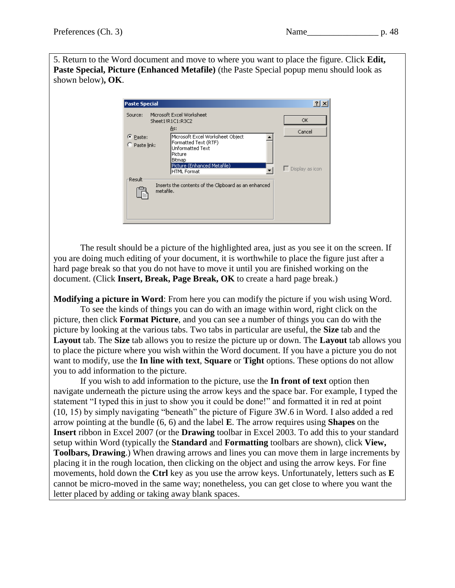5. Return to the Word document and move to where you want to place the figure. Click **Edit, Paste Special, Picture (Enhanced Metafile)** (the Paste Special popup menu should look as shown below)**, OK**.

| <b>Paste Special</b>         |                                                                                                                                                               |                                    |
|------------------------------|---------------------------------------------------------------------------------------------------------------------------------------------------------------|------------------------------------|
| Source:                      | Microsoft Excel Worksheet<br>Sheet1!R1C1:R3C2<br>As:                                                                                                          | <b>OK</b>                          |
| C Paste:<br>C Paste link:    | Microsoft Excel Worksheet Object<br>Formatted Text (RTF)<br><b>Unformatted Text</b><br>Picture<br>Bitmap<br>Picture (Enhanced Metafile)<br><b>HTML Format</b> | Cancel<br>$\Gamma$ Display as icon |
| <b>Result</b> :<br>metafile. | Inserts the contents of the Clipboard as an enhanced                                                                                                          |                                    |

The result should be a picture of the highlighted area, just as you see it on the screen. If you are doing much editing of your document, it is worthwhile to place the figure just after a hard page break so that you do not have to move it until you are finished working on the document. (Click **Insert, Break, Page Break, OK** to create a hard page break.)

**Modifying a picture in Word**: From here you can modify the picture if you wish using Word. To see the kinds of things you can do with an image within word, right click on the picture, then click **Format Picture**, and you can see a number of things you can do with the picture by looking at the various tabs. Two tabs in particular are useful, the **Size** tab and the **Layout** tab. The **Size** tab allows you to resize the picture up or down. The **Layout** tab allows you to place the picture where you wish within the Word document. If you have a picture you do not want to modify, use the **In line with text**, **Square** or **Tight** options. These options do not allow you to add information to the picture.

If you wish to add information to the picture, use the **In front of text** option then navigate underneath the picture using the arrow keys and the space bar. For example, I typed the statement "I typed this in just to show you it could be done!" and formatted it in red at point (10, 15) by simply navigating "beneath" the picture of Figure 3W.6 in Word. I also added a red arrow pointing at the bundle (6, 6) and the label **E**. The arrow requires using **Shapes** on the **Insert** ribbon in Excel 2007 (or the **Drawing** toolbar in Excel 2003. To add this to your standard setup within Word (typically the **Standard** and **Formatting** toolbars are shown), click **View, Toolbars, Drawing**.) When drawing arrows and lines you can move them in large increments by placing it in the rough location, then clicking on the object and using the arrow keys. For fine movements, hold down the **Ctrl** key as you use the arrow keys. Unfortunately, letters such as **E** cannot be micro-moved in the same way; nonetheless, you can get close to where you want the letter placed by adding or taking away blank spaces.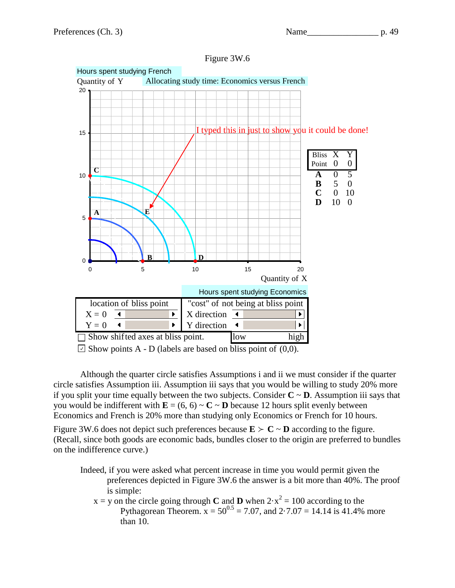



Figure 3W.6

 $\Box$  Show points A - D (labels are based on bliss point of (0,0).

Although the quarter circle satisfies Assumptions i and ii we must consider if the quarter circle satisfies Assumption iii. Assumption iii says that you would be willing to study 20% more if you split your time equally between the two subjects. Consider  $C \sim D$ . Assumption iii says that you would be indifferent with  $\mathbf{E} = (6, 6) \sim \mathbf{C} \sim \mathbf{D}$  because 12 hours split evenly between Economics and French is 20% more than studying only Economics or French for 10 hours.

Figure 3W.6 does not depict such preferences because  $\mathbf{E} > \mathbf{C} \sim \mathbf{D}$  according to the figure. (Recall, since both goods are economic bads, bundles closer to the origin are preferred to bundles on the indifference curve.)

- Indeed, if you were asked what percent increase in time you would permit given the preferences depicted in Figure 3W.6 the answer is a bit more than 40%. The proof is simple:
	- $x = y$  on the circle going through **C** and **D** when  $2 \cdot x^2 = 100$  according to the Pythagorean Theorem.  $x = 50^{0.5} = 7.07$ , and  $2.7.07 = 14.14$  is 41.4% more than 10.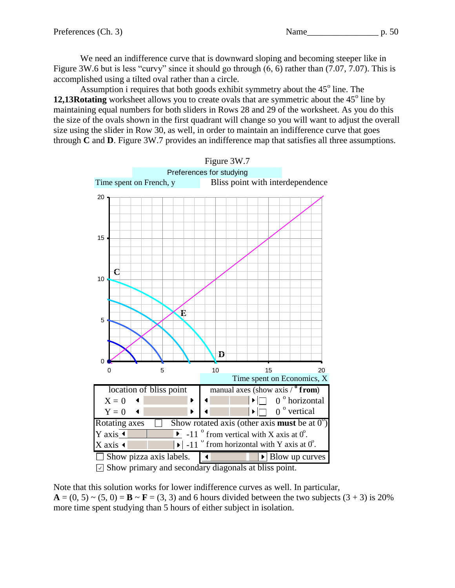We need an indifference curve that is downward sloping and becoming steeper like in Figure 3W.6 but is less "curvy" since it should go through (6, 6) rather than (7.07, 7.07). This is accomplished using a tilted oval rather than a circle.

Assumption i requires that both goods exhibit symmetry about the  $45^{\circ}$  line. The 12,13Rotating worksheet allows you to create ovals that are symmetric about the 45<sup>°</sup> line by maintaining equal numbers for both sliders in Rows 28 and 29 of the worksheet. As you do this the size of the ovals shown in the first quadrant will change so you will want to adjust the overall size using the slider in Row 30, as well, in order to maintain an indifference curve that goes through **C** and **D**. Figure 3W.7 provides an indifference map that satisfies all three assumptions.



 $\triangledown$  Show primary and secondary diagonals at bliss point.

Note that this solution works for lower indifference curves as well. In particular,  $\mathbf{A} = (0, 5) \sim (5, 0) = \mathbf{B} \sim \mathbf{F} = (3, 3)$  and 6 hours divided between the two subjects  $(3 + 3)$  is 20% more time spent studying than 5 hours of either subject in isolation.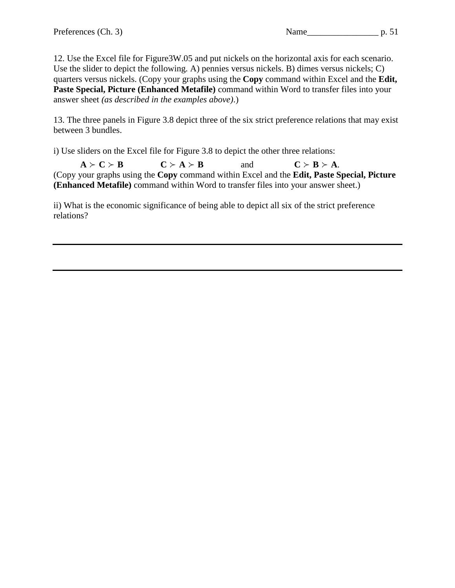12. Use the Excel file for Figure3W.05 and put nickels on the horizontal axis for each scenario. Use the slider to depict the following. A) pennies versus nickels. B) dimes versus nickels; C) quarters versus nickels. (Copy your graphs using the **Copy** command within Excel and the **Edit, Paste Special, Picture (Enhanced Metafile)** command within Word to transfer files into your answer sheet *(as described in the examples above)*.)

13. The three panels in Figure 3.8 depict three of the six strict preference relations that may exist between 3 bundles.

i) Use sliders on the Excel file for Figure 3.8 to depict the other three relations:

 $A > C > B$  **C** > **A** > **B** and **C** > **B** > **A**. (Copy your graphs using the **Copy** command within Excel and the **Edit, Paste Special, Picture (Enhanced Metafile)** command within Word to transfer files into your answer sheet.)

ii) What is the economic significance of being able to depict all six of the strict preference relations?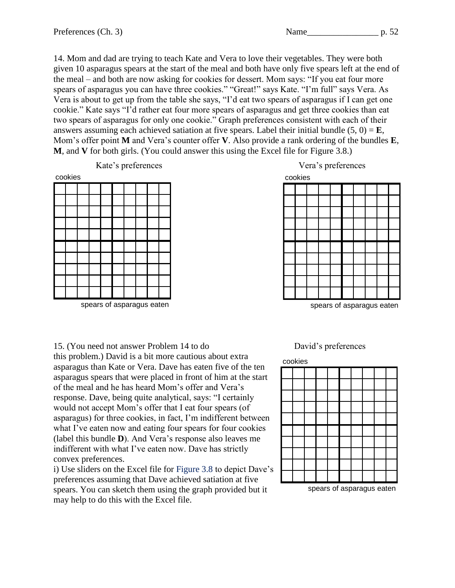14. Mom and dad are trying to teach Kate and Vera to love their vegetables. They were both given 10 asparagus spears at the start of the meal and both have only five spears left at the end of the meal – and both are now asking for cookies for dessert. Mom says: "If you eat four more spears of asparagus you can have three cookies." "Great!" says Kate. "I'm full" says Vera. As Vera is about to get up from the table she says, "I'd eat two spears of asparagus if I can get one cookie." Kate says "I'd rather eat four more spears of asparagus and get three cookies than eat two spears of asparagus for only one cookie." Graph preferences consistent with each of their answers assuming each achieved satiation at five spears. Label their initial bundle  $(5, 0) = E$ , Mom's offer point **M** and Vera's counter offer **V**. Also provide a rank ordering of the bundles **E**, **M**, and **V** for both girls. (You could answer this using the Excel file for Figure 3.8.)



spears of asparagus eaten



spears of asparagus eaten

15. (You need not answer Problem 14 to do David's preferences

this problem.) David is a bit more cautious about extra asparagus than Kate or Vera. Dave has eaten five of the ten asparagus spears that were placed in front of him at the start of the meal and he has heard Mom's offer and Vera's response. Dave, being quite analytical, says: "I certainly would not accept Mom's offer that I eat four spears (of asparagus) for three cookies, in fact, I'm indifferent between what I've eaten now and eating four spears for four cookies (label this bundle **D**). And Vera's response also leaves me indifferent with what I've eaten now. Dave has strictly convex preferences.

i) Use sliders on the Excel file for Figure 3.8 to depict Dave's preferences assuming that Dave achieved satiation at five spears. You can sketch them using the graph provided but it may help to do this with the Excel file.

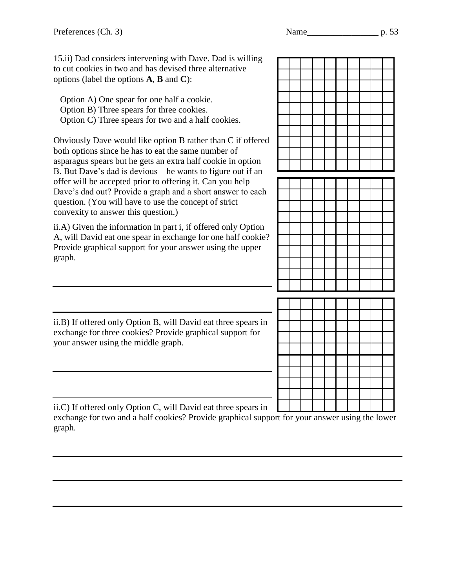15.ii) Dad considers intervening with Dave. Dad is willing to cut cookies in two and has devised three alternative options (label the options **A**, **B** and **C**):

Option A) One spear for one half a cookie. Option B) Three spears for three cookies. Option C) Three spears for two and a half cookies.

Obviously Dave would like option B rather than C if offered both options since he has to eat the same number of asparagus spears but he gets an extra half cookie in option B. But Dave's dad is devious – he wants to figure out if an offer will be accepted prior to offering it. Can you help Dave's dad out? Provide a graph and a short answer to each question. (You will have to use the concept of strict convexity to answer this question.)

ii.A) Given the information in part i, if offered only Option A, will David eat one spear in exchange for one half cookie? Provide graphical support for your answer using the upper graph.



ii.B) If offered only Option B, will David eat three spears in exchange for three cookies? Provide graphical support for your answer using the middle graph.

ii.C) If offered only Option C, will David eat three spears in

exchange for two and a half cookies? Provide graphical support for your answer using the lower graph.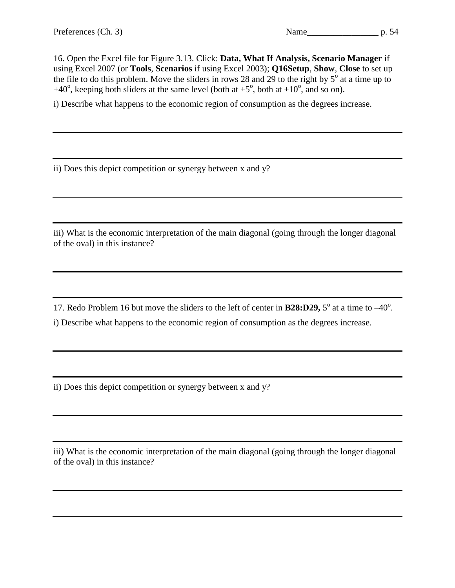16. Open the Excel file for Figure 3.13. Click: **Data, What If Analysis, Scenario Manager** if using Excel 2007 (or **Tools**, **Scenarios** if using Excel 2003); **Q16Setup**, **Show**, **Close** to set up the file to do this problem. Move the sliders in rows 28 and 29 to the right by  $5^\circ$  at a time up to +40°, keeping both sliders at the same level (both at  $+5^\circ$ , both at  $+10^\circ$ , and so on).

i) Describe what happens to the economic region of consumption as the degrees increase.

ii) Does this depict competition or synergy between x and y?

iii) What is the economic interpretation of the main diagonal (going through the longer diagonal of the oval) in this instance?

17. Redo Problem 16 but move the sliders to the left of center in **B28:D29**,  $5^\circ$  at a time to  $-40^\circ$ .

i) Describe what happens to the economic region of consumption as the degrees increase.

ii) Does this depict competition or synergy between x and y?

iii) What is the economic interpretation of the main diagonal (going through the longer diagonal of the oval) in this instance?